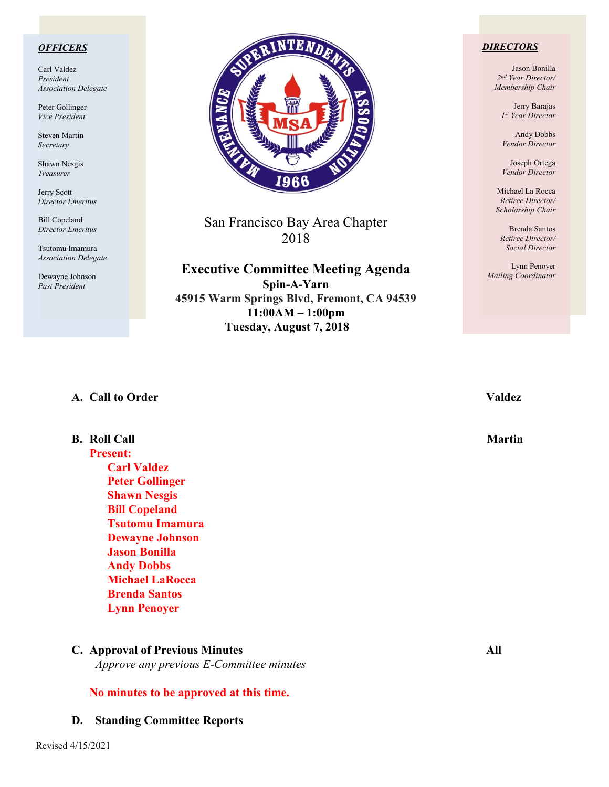#### *OFFICERS*

Carl Valdez *President Association Delegate*

Peter Gollinger *Vice President*

Steven Martin *Secretary*

Shawn Nesgis *Treasurer*

Jerry Scott *Director Emeritus*

Bill Copeland *Director Emeritus*

Tsutomu Imamura *Association Delegate*

Dewayne Johnson *Past President*



San Francisco Bay Area Chapter 2018

## **Executive Committee Meeting Agenda**

**Spin-A-Yarn 45915 Warm Springs Blvd, Fremont, CA 94539 11:00AM – 1:00pm Tuesday, August 7, 2018**

#### *DIRECTORS*

Jason Bonilla *2nd Year Director/ Membership Chair*

> Jerry Barajas *1st Year Director*

Andy Dobbs *Vendor Director*

Joseph Ortega *Vendor Director*

Michael La Rocca *Retiree Director/ Scholarship Chair*

Brenda Santos *Retiree Director/ Social Director*

Lynn Penoyer *Mailing Coordinator*

#### **A. Call to Order Valdez**

### **B.** Roll Call Martin **Martin Present: Carl Valdez Peter Gollinger Shawn Nesgis Bill Copeland Tsutomu Imamura Dewayne Johnson Jason Bonilla Andy Dobbs Michael LaRocca Brenda Santos Lynn Penoyer**

#### **C. Approval of Previous Minutes All**

*Approve any previous E-Committee minutes*

**No minutes to be approved at this time.**

#### **D. Standing Committee Reports**

Revised 4/15/2021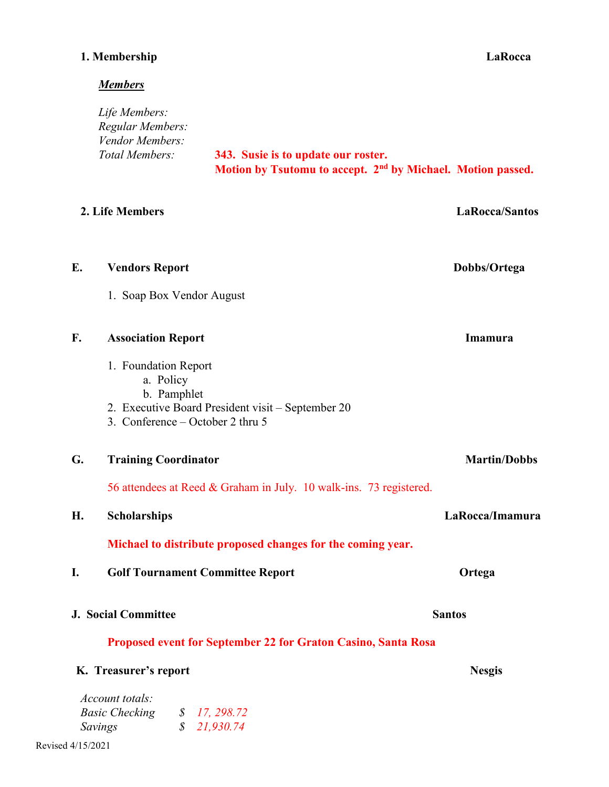# **1. Membership LaRocca**

| <b>Members</b> |  |
|----------------|--|
|                |  |

Revised 4/15/2021

| Life Members:<br>Regular Members:<br>Vendor Members: |                                                                                                                |
|------------------------------------------------------|----------------------------------------------------------------------------------------------------------------|
| Total Members:                                       | 343. Susie is to update our roster.<br>Motion by Tsutomu to accept. 2 <sup>nd</sup> by Michael. Motion passed. |

| 2. Life Members            |                                                                                                                                           | <b>LaRocca/Santos</b> |
|----------------------------|-------------------------------------------------------------------------------------------------------------------------------------------|-----------------------|
| E.                         | <b>Vendors Report</b>                                                                                                                     | Dobbs/Ortega          |
|                            | 1. Soap Box Vendor August                                                                                                                 |                       |
| F.                         | <b>Association Report</b>                                                                                                                 | <b>Imamura</b>        |
|                            | 1. Foundation Report<br>a. Policy<br>b. Pamphlet<br>2. Executive Board President visit - September 20<br>3. Conference – October 2 thru 5 |                       |
| G.                         | <b>Training Coordinator</b>                                                                                                               | <b>Martin/Dobbs</b>   |
|                            | 56 attendees at Reed & Graham in July. 10 walk-ins. 73 registered.                                                                        |                       |
| Н.                         | <b>Scholarships</b>                                                                                                                       | LaRocca/Imamura       |
|                            | Michael to distribute proposed changes for the coming year.                                                                               |                       |
| I.                         | <b>Golf Tournament Committee Report</b>                                                                                                   | Ortega                |
| <b>J. Social Committee</b> |                                                                                                                                           | <b>Santos</b>         |
|                            | <b>Proposed event for September 22 for Graton Casino, Santa Rosa</b>                                                                      |                       |
|                            | K. Treasurer's report                                                                                                                     | <b>Nesgis</b>         |
|                            | Account totals:<br><b>Basic Checking</b><br>\$<br>17, 298.72<br>$\mathcal{S}$<br>21,930.74<br>Savings                                     |                       |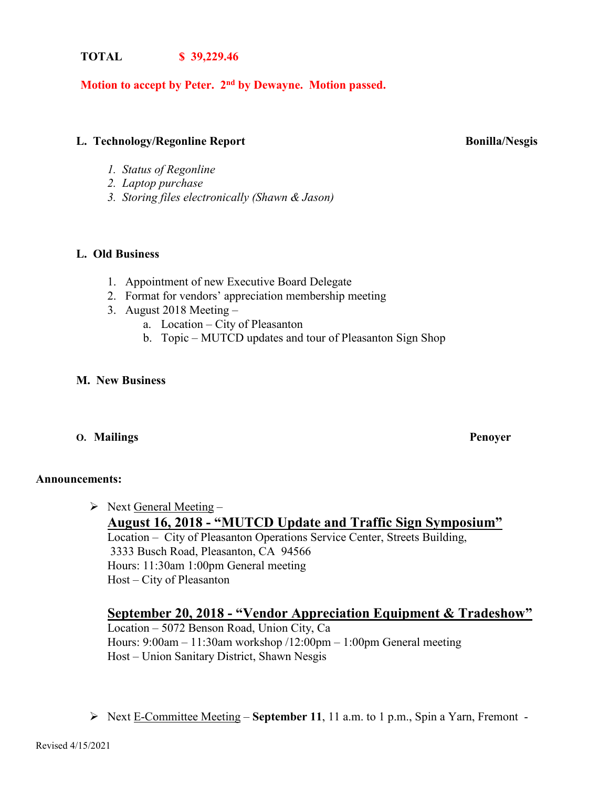#### **TOTAL \$ 39,229.46**

#### **Motion to accept by Peter. 2nd by Dewayne. Motion passed.**

#### L. Technology/Regonline Report **Bonilla/Nesgis** Bonilla/Nesgis

#### *1. Status of Regonline*

- *2. Laptop purchase*
- *3. Storing files electronically (Shawn & Jason)*

#### **L. Old Business**

- 1. Appointment of new Executive Board Delegate
- 2. Format for vendors' appreciation membership meeting
- 3. August 2018 Meeting
	- a. Location City of Pleasanton
	- b. Topic MUTCD updates and tour of Pleasanton Sign Shop

### **M. New Business**

#### **O. Mailings Penoyer**

#### **Announcements:**

 $\triangleright$  Next General Meeting –

# **August 16, 2018 - "MUTCD Update and Traffic Sign Symposium"**

Location – City of Pleasanton Operations Service Center, Streets Building, 3333 Busch Road, Pleasanton, CA 94566 Hours: 11:30am 1:00pm General meeting Host – City of Pleasanton

## **September 20, 2018 - "Vendor Appreciation Equipment & Tradeshow"**

Location – 5072 Benson Road, Union City, Ca Hours: 9:00am – 11:30am workshop /12:00pm – 1:00pm General meeting Host – Union Sanitary District, Shawn Nesgis

Next E-Committee Meeting – **September 11**, 11 a.m. to 1 p.m., Spin a Yarn, Fremont -